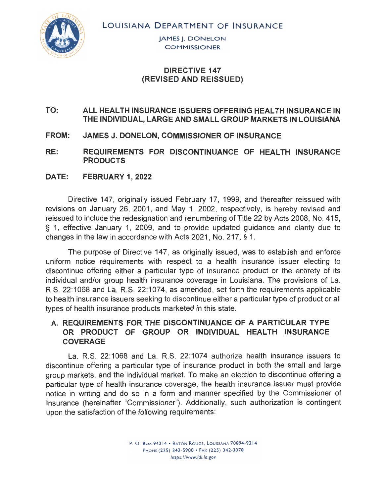LOUISIANA DEPARTMENT OF INSURANCE



JAMES J. DONELON **COMMISSIONER** 

## **DIRECTIVE 147 (REVISED AND REISSUED)**

### **TO: ALL HEAL TH INSURANCE ISSUERS OFFERING HEAL TH INSURANCE IN THE INDIVIDUAL, LARGE AND SMALL GROUP MARKETS IN LOUISIANA**

**FROM: JAMES J. DONELON, COMMISSIONER OF INSURANCE** 

RE: REQUIREMENTS FOR DISCONTINUANCE OF HEALTH INSURANCE **PRODUCTS** 

**DATE: FEBRUARY 1, 2022** 

Directive 147, originally issued February 17, 1999, and thereafter reissued with revisions on January 26, 2001, and May 1, 2002, respectively, is hereby revised and reissued to include the redesignation and renumbering of Title 22 by Acts 2008, No. 415, § 1, effective January 1, 2009, and to provide updated guidance and clarity due to changes in the law in accordance with Acts 2021 , No. 217, § 1.

The purpose of Directive 147, as originally issued, was to establish and enforce uniform notice requirements with respect to a health insurance issuer electing to discontinue offering either a particular type of insurance product or the entirety of its individual and/or group health insurance coverage in Louisiana. The provisions of La. R.S. 22:1 068 and La. R.S. 22:1074, as amended, set forth the requirements applicable to health insurance issuers seeking to discontinue either a particular type of product or all types of health insurance products marketed in this state.

## **A. REQUIREMENTS FOR THE DISCONTINUANCE OF A PARTICULAR TYPE**  OR PRODUCT OF GROUP OR INDIVIDUAL HEALTH INSURANCE **COVERAGE**

La. R.S. 22:1068 and La. R.S. 22:1074 authorize health insurance issuers to discontinue offering a particular type of insurance product in both the small and large group markets, and the individual market. To make an election to discontinue offering a particular type of health insurance coverage, the health insurance issuer must provide notice in writing and do so in a form and manner specified by the Commissioner of Insurance (hereinafter "Commissioner"). Additionally, such authorization is contingent upon the satisfaction of the following requirements: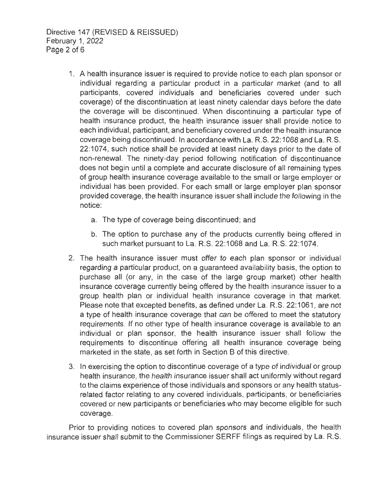Directive 147 (REVISED & REISSUED) February 1, 2022 Page 2 of 6

- 1. A health insurance issuer is required to provide notice to each plan sponsor or individual regarding a particular product in a particular market (and to all participants, covered individuals and beneficiaries covered under such coverage) of the discontinuation at least ninety calendar days before the date the coverage will be discontinued. When discontinuing a particular type of health insurance product, the health insurance issuer shall provide notice to each individual, participant, and beneficiary covered under the health insurance coverage being discontinued. In accordance with La. R.S. 22:1068 and La. R.S. 22:1074, such notice shall be provided at least ninety days prior to the date of non-renewal. The ninety-day period following notification of discontinuance does not begin until a complete and accurate disclosure of all remaining types of group health insurance coverage available to the small or large employer or individual has been provided. For each small or large employer plan sponsor provided coverage, the health insurance issuer shall include the following in the notice:
	- a. The type of coverage being discontinued; and
	- b. The option to purchase any of the products currently being offered in such market pursuant to La. R.S. 22:1068 and La. R.S. 22:1074.
- 2. The health insurance issuer must offer to each plan sponsor or individual regarding a particular product, on a guaranteed availability basis, the option to purchase all (or any, in the case of the large group market) other health insurance coverage currently being offered by the health insurance issuer to a group health plan or individual health insurance coverage in that market. Please note that excepted benefits, as defined under La. R.S. 22:1061, are not a type of health insurance coverage that can be offered to meet the statutory requirements. If no other type of health insurance coverage is available to an individual or plan sponsor, the health insurance issuer shall follow the requirements to discontinue offering all health insurance coverage being marketed in the state, as set forth in Section B of this directive.
- 3. In exercising the option to discontinue coverage of a type of individual or group health insurance, the health insurance issuer shall act uniformly without regard to the claims experience of those individuals and sponsors or any health statusrelated factor relating to any covered individuals, participants, or peneficiaries covered or new participants or beneficiaries who may become eligible for such coverage.

Prior to providing notices to covered plan sponsors and individuals, the health insurance issuer shall submit to the Cornmissioner SERFF filings as required by La. R.S.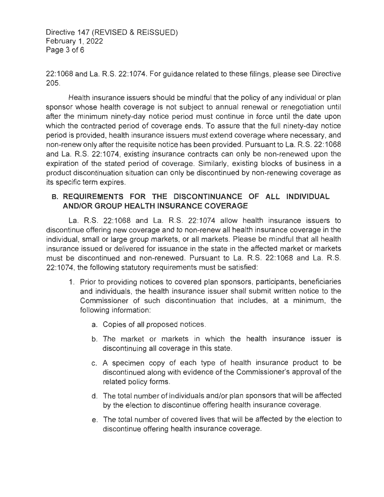Directive 147 (REVISED & REISSUED) February 1, 2022 Page 3 of 6

22:1068 and La. R.S. 22:1074. For guidance related to these filings, please see Directive 205.

Health insurance issuers should be mindful that the policy of any individual or plan sponsor whose health coverage is not subject to annual renewal or renegotiation until after the minimum ninety-day notice period must continue in force until the date upon which the contracted period of coverage ends. To assure that the full ninety-day notice period is provided, health insurance issuers must extend coverage where necessary, and non-renew only after the requisite notice has been provided. Pursuant to La. R.S. 22: 1068 and La. R.S. 22:1074, existing insurance contracts can only be non-renewed upon the expiration of the stated period of coverage. Similarly, existing blocks of business in a product discontinuation situation can only be discontinued by non-renewing coverage as its specific term expires.

# **B. REQUIREMENTS FOR THE DISCONTINUANCE OF ALL INDIVIDUAL AND/OR GROUP HEAL TH INSURANCE COVERAGE**

La. R.S. 22:1068 and La. R.S. 22:1074 allow health insurance issuers to discontinue offering new coverage and to non-renew all health insurance coverage in the individual, small or large group markets, or all markets. Please be mindful that all health insurance issued or delivered for issuance in the state in the affected market or markets must be discontinued and non-renewed. Pursuant to La. R.S. 22: 1068 and La. R.S. 22:1074, the following statutory requirements must be satisfied:

- 1. Prior to providing notices to covered plan sponsors, participants, beneficiaries and individuals, the health insurance issuer shall submit written notice to the Commissioner of such discontinuation that includes, at a minimum, the following information:
	- a. Copies of all proposed notices.
	- b. The market or markets in which the health insurance issuer is discontinuing all coverage in this state.
	- c. A specimen copy of each type of health insurance product to be discontinued along with evidence of the Commissioner's approval of the related policy forms.
	- d. The total number of individuals and/or plan sponsors that will be affected by the election to discontinue offering health insurance coverage.
	- e. The total number of covered lives that will be affected by the election to discontinue offering health insurance coverage.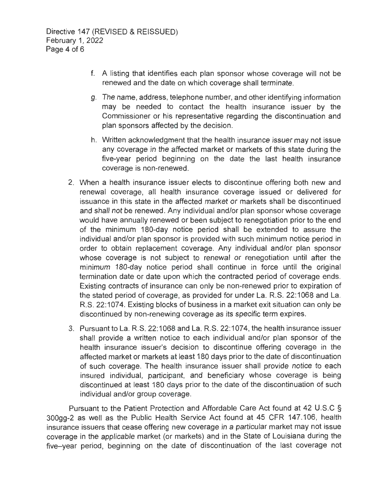- f. A listing that identifies each plan sponsor whose coverage will not be renewed and the date on which coverage shall terminate.
- g. The name, address, telephone number, and other identifying information may be needed to contact the health insurance issuer by the Commissioner or his representative regarding the discontinuation and plan sponsors affected by the decision.
- h. Written acknowledgment that the health insurance issuer may not issue any coverage in the affected market or markets of this state during the five-year period beginning on the date the last health insurance coverage is non-renewed.
- 2. When a health insurance issuer elects to discontinue offering both new and renewal coverage, all health insurance coverage issued or delivered for issuance in this state in the affected market or markets shall be discontinued and shall not be renewed. Any individual and/or plan sponsor whose coverage would have annually renewed or been subject to renegotiation prior to the end of the minimum 180-day notice period shall be extended to assure the individual and/or plan sponsor is provided with such minimum notice period in order to obtain replacement coverage. Any individual and/or plan sponsor whose coverage is not subject to renewal or renegotiation until after the minimum 180-day notice period shall continue in force until the original termination date or date upon which the contracted period of coverage ends. Existing contracts of insurance can only be non-renewed prior to expiration of the stated period of coverage, as provided for under La. R.S. 22: 1068 and La. R.S. 22:1074. Existing blocks of business in a market exit situation can only be discontinued by non-renewing coverage as its specific term expires.
- 3. Pursuant to La. R.S. 22:1068 and La. R.S. 22:1074, the health insurance issuer shall provide a written notice to each individual and/or plan sponsor of the health insurance issuer's decision to discontinue offering coverage in the affected market or markets at least 180 days prior to the date of discontinuation of such coverage. The health insurance issuer shall provide notice to each insured individual, participant, and beneficiary whose coverage is being discontinued at least 180 days prior to the date of the discontinuation of such individual and/or group coverage.

Pursuant to the Patient Protection and Affordable Care Act found at 42 U.S.C § 300gg-2 as well as the Public Health Service Act found at 45 CFR 147.106, health insurance issuers that cease offering new coverage in a particular market may not issue coverage in the applicable market (or markets) and in the State of Louisiana during the five-year period, beginning on the date of discontinuation of the last coverage not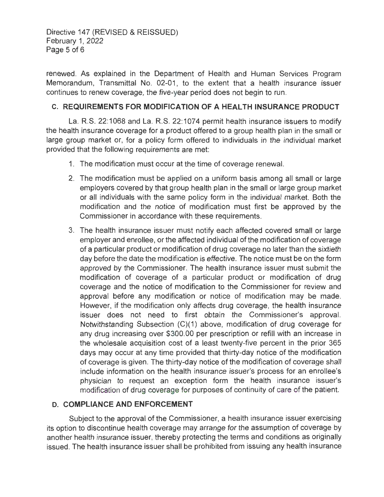Directive 147 (REVISED & REISSUED) February 1, 2022 Page 5 of 6

renewed. As explained in the Department of Health and Human Services Program Memorandum, Transmittal No. 02-01, to the extent that a health insurance issuer continues to renew coverage, the five-year period does not begin to run.

## **C. REQUIREMENTS FOR MODIFICATION OF A HEAL TH INSURANCE PRODUCT**

La. R.S. 22:1068 and La. R.S. 22:1074 permit health insurance issuers to modify the health insurance coverage for a product offered to a group health plan in the small or large group market or, for a policy form offered to individuals in the individual market provided that the following requirements are met:

- 1. The modification must occur at the time of coverage renewal.
- 2. The modification must be applied on a uniform basis among all small or large employers covered by that group health plan in the small or large group market or all individuals with the same policy form in the individual market. Both the modification and the notice of modification must first be approved by the Commissioner in accordance with these requirements.
- 3. The health insurance issuer must notify each affected covered small or large employer and enrollee, or the affected individual of the modification of coverage of a particular product or modification of drug coverage no later than the sixtieth day before the date the modification is effective. The notice must be on the form approved by the Commissioner. The health insurance issuer must submit the modification of coverage of a particular product or modification of drug coverage and the notice of modification to the Commissioner for review and approval before any modification or notice of modification may be made. However, if the modification only affects drug coverage, the health insurance issuer does not need to first obtain the Commissioner's approval. Notwithstanding Subsection (C)(1) above, modification of drug coverage for any drug increasing over \$300.00 per prescription or refill with an increase in the wholesale acquisition cost of a least twenty-five percent in the prior 365 days may occur at any time provided that thirty-day notice of the modification of coverage is given. The thirty-day notice of the modification of coverage shall include information on the health insurance issuer's process for an enrollee's physician to request an exception form the health insurance issuer's modification of drug coverage for purposes of continuity of care of the patient.

#### **D. COMPLIANCE AND ENFORCEMENT**

Subject to the approval of the Commissioner, a health insurance issuer exercising its option to discontinue health coverage may arrange for the assumption of coverage by another health insurance issuer, thereby protecting the terms and conditions as originally issued. The health insurance issuer shall be prohibited from issuing any health insurance